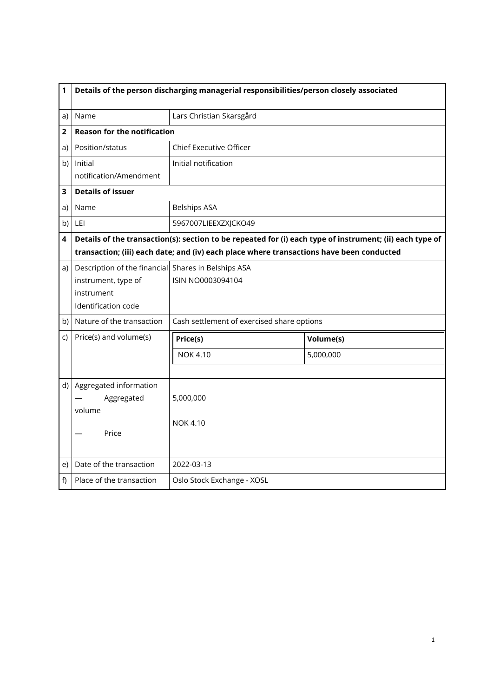| 1  | Details of the person discharging managerial responsibilities/person closely associated |                                                                                                          |           |  |
|----|-----------------------------------------------------------------------------------------|----------------------------------------------------------------------------------------------------------|-----------|--|
| a) | Name                                                                                    | Lars Christian Skarsgård                                                                                 |           |  |
| 2  | <b>Reason for the notification</b>                                                      |                                                                                                          |           |  |
| a) | Position/status                                                                         | Chief Executive Officer                                                                                  |           |  |
| b) | Initial                                                                                 | Initial notification                                                                                     |           |  |
|    | notification/Amendment                                                                  |                                                                                                          |           |  |
| 3  | <b>Details of issuer</b>                                                                |                                                                                                          |           |  |
| a) | Name                                                                                    | <b>Belships ASA</b>                                                                                      |           |  |
| b) | <b>LEI</b>                                                                              | 5967007LIEEXZXJCKO49                                                                                     |           |  |
| 4  |                                                                                         | Details of the transaction(s): section to be repeated for (i) each type of instrument; (ii) each type of |           |  |
|    |                                                                                         | transaction; (iii) each date; and (iv) each place where transactions have been conducted                 |           |  |
| a) | Description of the financial Shares in Belships ASA                                     |                                                                                                          |           |  |
|    | instrument, type of                                                                     | ISIN NO0003094104                                                                                        |           |  |
|    | instrument                                                                              |                                                                                                          |           |  |
|    | Identification code                                                                     |                                                                                                          |           |  |
| b) | Nature of the transaction                                                               | Cash settlement of exercised share options                                                               |           |  |
| C) | Price(s) and volume(s)                                                                  | Price(s)                                                                                                 | Volume(s) |  |
|    |                                                                                         | <b>NOK 4.10</b>                                                                                          | 5,000,000 |  |
|    |                                                                                         |                                                                                                          |           |  |
| d) | Aggregated information                                                                  |                                                                                                          |           |  |
|    | Aggregated                                                                              | 5,000,000                                                                                                |           |  |
|    | volume                                                                                  |                                                                                                          |           |  |
|    | Price                                                                                   | <b>NOK 4.10</b>                                                                                          |           |  |
|    |                                                                                         |                                                                                                          |           |  |
| e) | Date of the transaction                                                                 | 2022-03-13                                                                                               |           |  |
| f) | Place of the transaction                                                                | Oslo Stock Exchange - XOSL                                                                               |           |  |